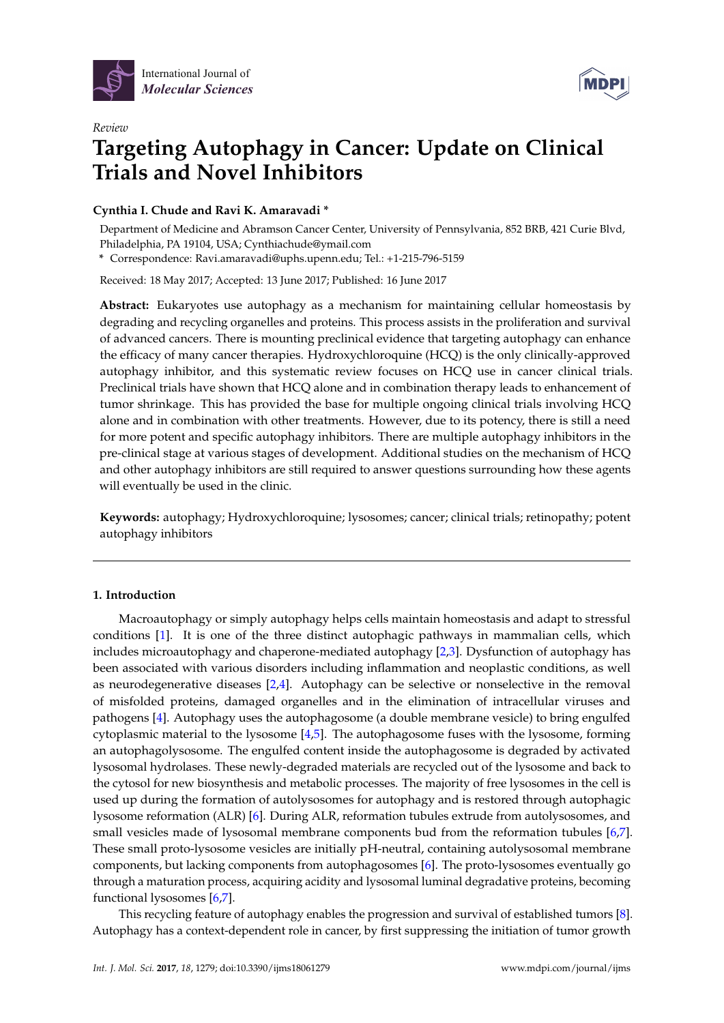

*Review*



# **Targeting Autophagy in Cancer: Update on Clinical Trials and Novel Inhibitors**

# **Cynthia I. Chude and Ravi K. Amaravadi \***

Department of Medicine and Abramson Cancer Center, University of Pennsylvania, 852 BRB, 421 Curie Blvd, Philadelphia, PA 19104, USA; Cynthiachude@ymail.com

**\*** Correspondence: Ravi.amaravadi@uphs.upenn.edu; Tel.: +1-215-796-5159

Received: 18 May 2017; Accepted: 13 June 2017; Published: 16 June 2017

**Abstract:** Eukaryotes use autophagy as a mechanism for maintaining cellular homeostasis by degrading and recycling organelles and proteins. This process assists in the proliferation and survival of advanced cancers. There is mounting preclinical evidence that targeting autophagy can enhance the efficacy of many cancer therapies. Hydroxychloroquine (HCQ) is the only clinically-approved autophagy inhibitor, and this systematic review focuses on HCQ use in cancer clinical trials. Preclinical trials have shown that HCQ alone and in combination therapy leads to enhancement of tumor shrinkage. This has provided the base for multiple ongoing clinical trials involving HCQ alone and in combination with other treatments. However, due to its potency, there is still a need for more potent and specific autophagy inhibitors. There are multiple autophagy inhibitors in the pre-clinical stage at various stages of development. Additional studies on the mechanism of HCQ and other autophagy inhibitors are still required to answer questions surrounding how these agents will eventually be used in the clinic.

**Keywords:** autophagy; Hydroxychloroquine; lysosomes; cancer; clinical trials; retinopathy; potent autophagy inhibitors

## **1. Introduction**

Macroautophagy or simply autophagy helps cells maintain homeostasis and adapt to stressful conditions [\[1\]](#page-7-0). It is one of the three distinct autophagic pathways in mammalian cells, which includes microautophagy and chaperone-mediated autophagy [\[2](#page-7-1)[,3\]](#page-7-2). Dysfunction of autophagy has been associated with various disorders including inflammation and neoplastic conditions, as well as neurodegenerative diseases  $[2,4]$  $[2,4]$ . Autophagy can be selective or nonselective in the removal of misfolded proteins, damaged organelles and in the elimination of intracellular viruses and pathogens [\[4\]](#page-7-3). Autophagy uses the autophagosome (a double membrane vesicle) to bring engulfed cytoplasmic material to the lysosome [\[4,](#page-7-3)[5\]](#page-7-4). The autophagosome fuses with the lysosome, forming an autophagolysosome. The engulfed content inside the autophagosome is degraded by activated lysosomal hydrolases. These newly-degraded materials are recycled out of the lysosome and back to the cytosol for new biosynthesis and metabolic processes. The majority of free lysosomes in the cell is used up during the formation of autolysosomes for autophagy and is restored through autophagic lysosome reformation (ALR) [\[6\]](#page-7-5). During ALR, reformation tubules extrude from autolysosomes, and small vesicles made of lysosomal membrane components bud from the reformation tubules [\[6,](#page-7-5)[7\]](#page-7-6). These small proto-lysosome vesicles are initially pH-neutral, containing autolysosomal membrane components, but lacking components from autophagosomes [\[6\]](#page-7-5). The proto-lysosomes eventually go through a maturation process, acquiring acidity and lysosomal luminal degradative proteins, becoming functional lysosomes [\[6,](#page-7-5)[7\]](#page-7-6).

This recycling feature of autophagy enables the progression and survival of established tumors [\[8\]](#page-7-7). Autophagy has a context-dependent role in cancer, by first suppressing the initiation of tumor growth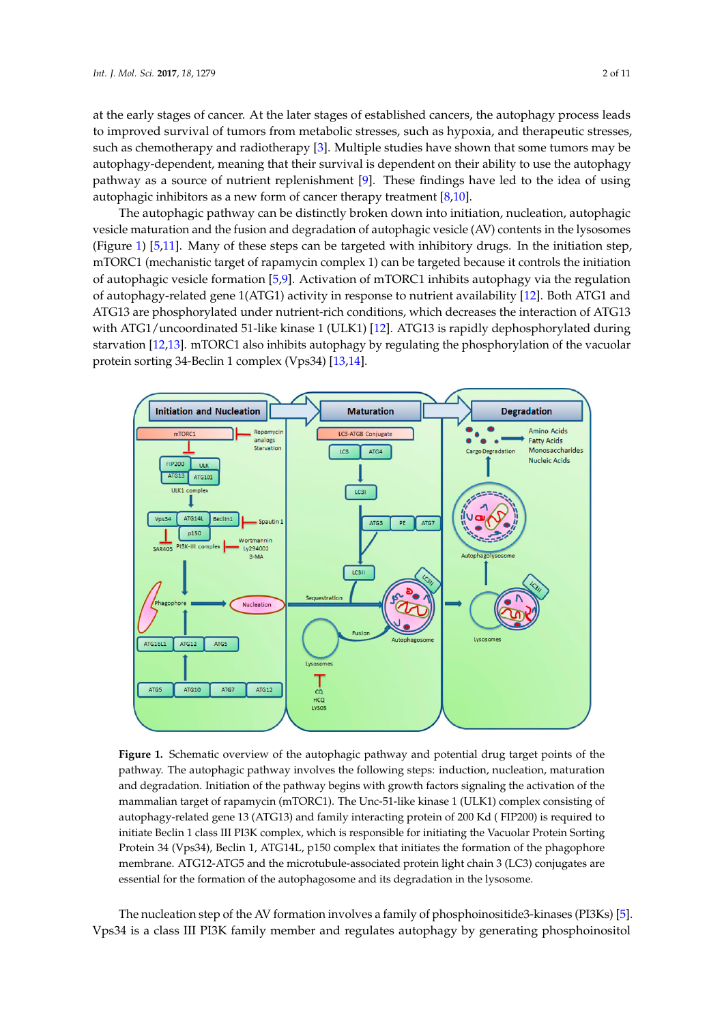at the early stages of cancer. At the later stages of established cancers, the autophagy process leads to improved survival of tumors from metabolic stresses, such as hypoxia, and therapeutic stresses, such as chemotherapy and radiotherapy [\[3\]](#page-7-2). Multiple studies have shown that some tumors may be autophagy-dependent, meaning that their survival is dependent on their ability to use the autophagy pathway as a source of nutrient replenishment [\[9\]](#page-7-8). These findings have led to the idea of using autophagic inhibitors as a new form of cancer therapy treatment  $[8,10]$  $[8,10]$ .

The autophagic pathway can be distinctly broken down into initiation, nucleation, autophagic vesicle maturation and the fusion and degradation of autophagic vesicle (AV) contents in the lysosomes (Figure [1\)](#page-1-0) [\[5,](#page-7-4)[11\]](#page-7-10). Many of these steps can be targeted with inhibitory drugs. In the initiation step, mTORC1 (mechanistic target of rapamycin complex 1) can be targeted because it controls the initiation of autophagic vesicle formation [\[5](#page-7-4)[,9\]](#page-7-8). Activation of mTORC1 inhibits autophagy via the regulation of autophagy-related gene 1(ATG1) activity in response to nutrient availability [\[12\]](#page-7-11). Both ATG1 and ATG13 are phosphorylated under nutrient-rich conditions, which decreases the interaction of ATG13 with ATG1/uncoordinated 51-like kinase 1 (ULK1) [\[12\]](#page-7-11). ATG13 is rapidly dephosphorylated during starvation [\[12,](#page-7-11)[13\]](#page-7-12). mTORC1 also inhibits autophagy by regulating the phosphorylation of the vacuolar protein sorting 34-Beclin 1 complex (Vps34) [\[13,](#page-7-12)[14\]](#page-7-13).

<span id="page-1-0"></span>

**Figure 1.** Schematic overview of the autophagic pathway and potential drug target points of the **Figure 1.** Schematic overview of the autophagic pathway and potential drug target points of the pathway. The autophagic pathway involves the following steps: induction, nucleation, maturation pathway. The autophagic pathway involves the following steps: induction, nucleation, maturation and degradation. Initiation of the pathway begins with growth factors signaling the activation of the and degradation. Initiation of the pathway begins with growth factors signaling the activation of the mammalian target of rapamycin (mTORC1). The Unc-51-like kinase 1 (ULK1) complex consisting of mammalian target of rapamycin (mTORC1). The Unc-51-like kinase 1 (ULK1) complex consisting of autophagy-related gene 13 (ATG13) and family interacting protein of 200 Kd ( FIP200) is required to autophagy-related gene 13 (ATG13) and family interacting protein of 200 Kd ( FIP200) is required to initiate Beclin 1 class III PI3K complex, which is responsible for initiating the Vacuolar Protein Sorting initiate Beclin 1 class III PI3K complex, which is responsible for initiating the Vacuolar Protein Sorting Protein 34 (Vps34), Beclin 1, ATG14L, p150 complex that initiates the formation of the phagophore Protein 34 (Vps34), Beclin 1, ATG14L, p150 complex that initiates the formation of the phagophore membrane. ATG12-ATG5 and the microtubule-associated protein light chain 3 (LC3) conjugates are membrane. ATG12-ATG5 and the microtubule-associated protein light chain 3 (LC3) conjugates are essential for the formation of the autophagosome and its degradation in the lysosome. essential for the formation of the autophagosome and its degradation in the lysosome.

The nucleation step of the AV formation involves a family of phosphoinositide3-kinases (PI3Ks) [\[5\]](#page-7-4). Vps34 is a class III PI3K family member and regulates autophagy by generating phosphoinositol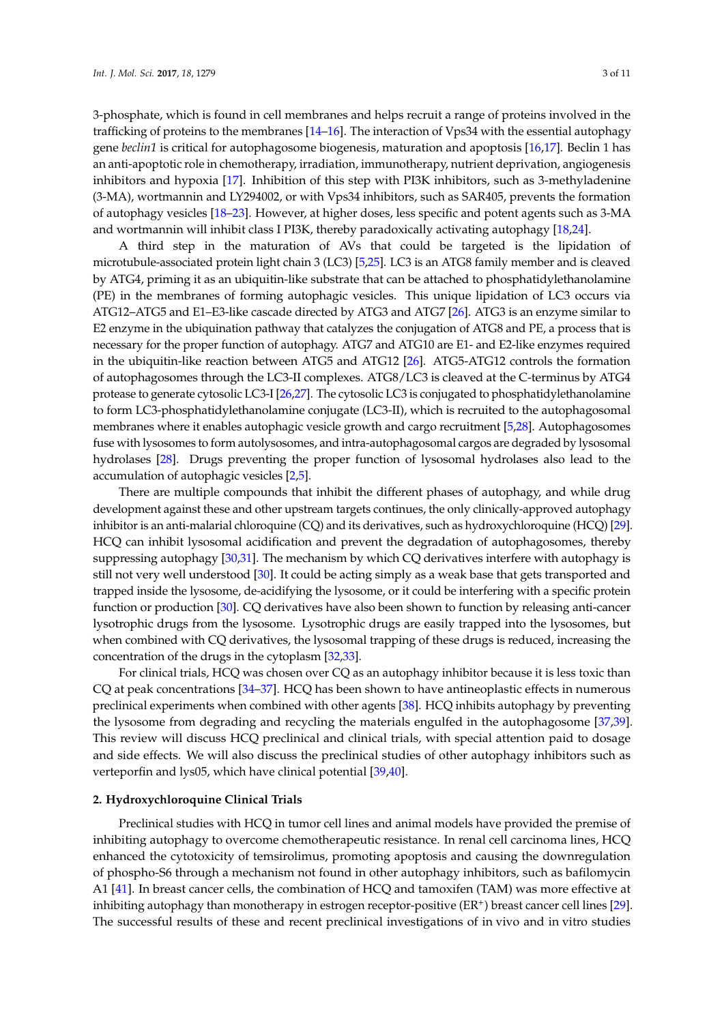3-phosphate, which is found in cell membranes and helps recruit a range of proteins involved in the trafficking of proteins to the membranes [\[14](#page-7-13)[–16\]](#page-7-14). The interaction of Vps34 with the essential autophagy gene *beclin1* is critical for autophagosome biogenesis, maturation and apoptosis [\[16](#page-7-14)[,17\]](#page-7-15). Beclin 1 has an anti-apoptotic role in chemotherapy, irradiation, immunotherapy, nutrient deprivation, angiogenesis inhibitors and hypoxia [\[17\]](#page-7-15). Inhibition of this step with PI3K inhibitors, such as 3-methyladenine (3-MA), wortmannin and LY294002, or with Vps34 inhibitors, such as SAR405, prevents the formation of autophagy vesicles [\[18](#page-7-16)[–23\]](#page-8-0). However, at higher doses, less specific and potent agents such as 3-MA and wortmannin will inhibit class I PI3K, thereby paradoxically activating autophagy [\[18,](#page-7-16)[24\]](#page-8-1).

A third step in the maturation of AVs that could be targeted is the lipidation of microtubule-associated protein light chain 3 (LC3) [\[5,](#page-7-4)[25\]](#page-8-2). LC3 is an ATG8 family member and is cleaved by ATG4, priming it as an ubiquitin-like substrate that can be attached to phosphatidylethanolamine (PE) in the membranes of forming autophagic vesicles. This unique lipidation of LC3 occurs via ATG12–ATG5 and E1–E3-like cascade directed by ATG3 and ATG7 [\[26\]](#page-8-3). ATG3 is an enzyme similar to E2 enzyme in the ubiquination pathway that catalyzes the conjugation of ATG8 and PE, a process that is necessary for the proper function of autophagy. ATG7 and ATG10 are E1- and E2-like enzymes required in the ubiquitin-like reaction between ATG5 and ATG12 [\[26\]](#page-8-3). ATG5-ATG12 controls the formation of autophagosomes through the LC3-II complexes. ATG8/LC3 is cleaved at the C-terminus by ATG4 protease to generate cytosolic LC3-I [\[26](#page-8-3)[,27\]](#page-8-4). The cytosolic LC3 is conjugated to phosphatidylethanolamine to form LC3-phosphatidylethanolamine conjugate (LC3-II), which is recruited to the autophagosomal membranes where it enables autophagic vesicle growth and cargo recruitment [\[5,](#page-7-4)[28\]](#page-8-5). Autophagosomes fuse with lysosomes to form autolysosomes, and intra-autophagosomal cargos are degraded by lysosomal hydrolases [\[28\]](#page-8-5). Drugs preventing the proper function of lysosomal hydrolases also lead to the accumulation of autophagic vesicles [\[2,](#page-7-1)[5\]](#page-7-4).

There are multiple compounds that inhibit the different phases of autophagy, and while drug development against these and other upstream targets continues, the only clinically-approved autophagy inhibitor is an anti-malarial chloroquine (CQ) and its derivatives, such as hydroxychloroquine (HCQ) [\[29\]](#page-8-6). HCQ can inhibit lysosomal acidification and prevent the degradation of autophagosomes, thereby suppressing autophagy [\[30,](#page-8-7)[31\]](#page-8-8). The mechanism by which CQ derivatives interfere with autophagy is still not very well understood [\[30\]](#page-8-7). It could be acting simply as a weak base that gets transported and trapped inside the lysosome, de-acidifying the lysosome, or it could be interfering with a specific protein function or production [\[30\]](#page-8-7). CQ derivatives have also been shown to function by releasing anti-cancer lysotrophic drugs from the lysosome. Lysotrophic drugs are easily trapped into the lysosomes, but when combined with CQ derivatives, the lysosomal trapping of these drugs is reduced, increasing the concentration of the drugs in the cytoplasm [\[32,](#page-8-9)[33\]](#page-8-10).

For clinical trials, HCQ was chosen over CQ as an autophagy inhibitor because it is less toxic than CQ at peak concentrations [\[34](#page-8-11)[–37\]](#page-8-12). HCQ has been shown to have antineoplastic effects in numerous preclinical experiments when combined with other agents [\[38\]](#page-8-13). HCQ inhibits autophagy by preventing the lysosome from degrading and recycling the materials engulfed in the autophagosome [\[37,](#page-8-12)[39\]](#page-8-14). This review will discuss HCQ preclinical and clinical trials, with special attention paid to dosage and side effects. We will also discuss the preclinical studies of other autophagy inhibitors such as verteporfin and lys05, which have clinical potential [\[39](#page-8-14)[,40\]](#page-8-15).

#### **2. Hydroxychloroquine Clinical Trials**

Preclinical studies with HCQ in tumor cell lines and animal models have provided the premise of inhibiting autophagy to overcome chemotherapeutic resistance. In renal cell carcinoma lines, HCQ enhanced the cytotoxicity of temsirolimus, promoting apoptosis and causing the downregulation of phospho-S6 through a mechanism not found in other autophagy inhibitors, such as bafilomycin A1 [\[41\]](#page-8-16). In breast cancer cells, the combination of HCQ and tamoxifen (TAM) was more effective at inhibiting autophagy than monotherapy in estrogen receptor-positive (ER<sup>+</sup>) breast cancer cell lines [\[29\]](#page-8-6). The successful results of these and recent preclinical investigations of in vivo and in vitro studies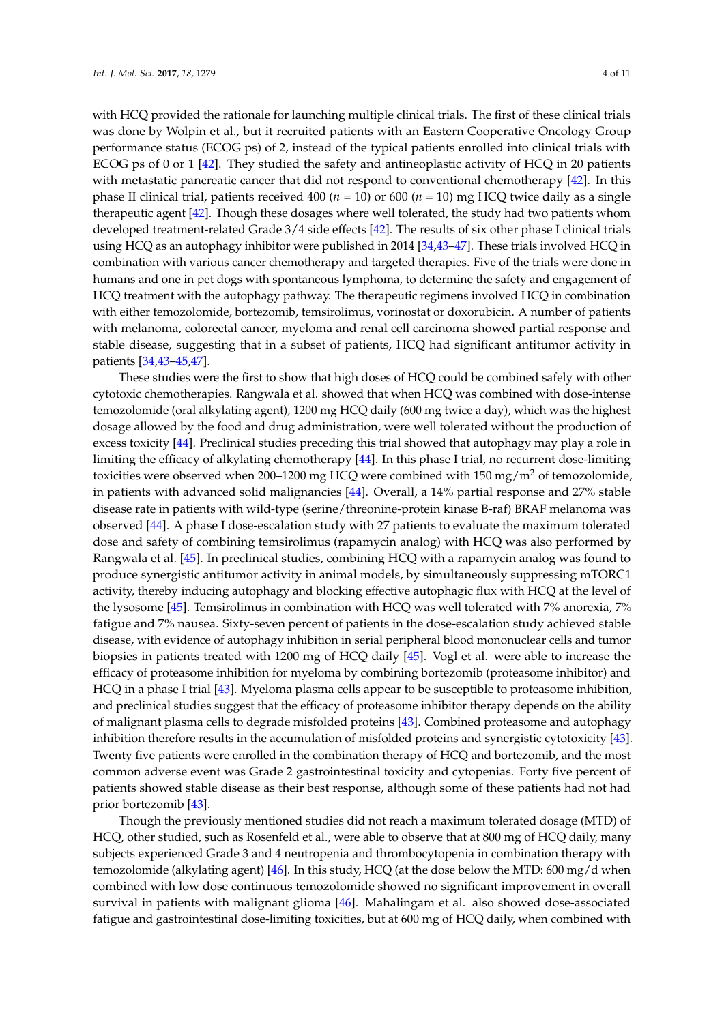with HCQ provided the rationale for launching multiple clinical trials. The first of these clinical trials was done by Wolpin et al., but it recruited patients with an Eastern Cooperative Oncology Group performance status (ECOG ps) of 2, instead of the typical patients enrolled into clinical trials with ECOG ps of 0 or 1 [\[42\]](#page-8-17). They studied the safety and antineoplastic activity of HCQ in 20 patients with metastatic pancreatic cancer that did not respond to conventional chemotherapy [\[42\]](#page-8-17). In this phase II clinical trial, patients received 400 (*n* = 10) or 600 (*n* = 10) mg HCQ twice daily as a single therapeutic agent [\[42\]](#page-8-17). Though these dosages where well tolerated, the study had two patients whom developed treatment-related Grade 3/4 side effects [\[42\]](#page-8-17). The results of six other phase I clinical trials using HCQ as an autophagy inhibitor were published in 2014 [\[34,](#page-8-11)[43](#page-9-0)[–47\]](#page-9-1). These trials involved HCQ in combination with various cancer chemotherapy and targeted therapies. Five of the trials were done in humans and one in pet dogs with spontaneous lymphoma, to determine the safety and engagement of HCQ treatment with the autophagy pathway. The therapeutic regimens involved HCQ in combination with either temozolomide, bortezomib, temsirolimus, vorinostat or doxorubicin. A number of patients with melanoma, colorectal cancer, myeloma and renal cell carcinoma showed partial response and stable disease, suggesting that in a subset of patients, HCQ had significant antitumor activity in patients [\[34,](#page-8-11)[43–](#page-9-0)[45,](#page-9-2)[47\]](#page-9-1).

These studies were the first to show that high doses of HCQ could be combined safely with other cytotoxic chemotherapies. Rangwala et al. showed that when HCQ was combined with dose-intense temozolomide (oral alkylating agent), 1200 mg HCQ daily (600 mg twice a day), which was the highest dosage allowed by the food and drug administration, were well tolerated without the production of excess toxicity [\[44\]](#page-9-3). Preclinical studies preceding this trial showed that autophagy may play a role in limiting the efficacy of alkylating chemotherapy [\[44\]](#page-9-3). In this phase I trial, no recurrent dose-limiting toxicities were observed when 200-1200 mg HCQ were combined with 150 mg/m<sup>2</sup> of temozolomide, in patients with advanced solid malignancies [\[44\]](#page-9-3). Overall, a 14% partial response and 27% stable disease rate in patients with wild-type (serine/threonine-protein kinase B-raf) BRAF melanoma was observed [\[44\]](#page-9-3). A phase I dose-escalation study with 27 patients to evaluate the maximum tolerated dose and safety of combining temsirolimus (rapamycin analog) with HCQ was also performed by Rangwala et al. [\[45\]](#page-9-2). In preclinical studies, combining HCQ with a rapamycin analog was found to produce synergistic antitumor activity in animal models, by simultaneously suppressing mTORC1 activity, thereby inducing autophagy and blocking effective autophagic flux with HCQ at the level of the lysosome [\[45\]](#page-9-2). Temsirolimus in combination with HCQ was well tolerated with 7% anorexia, 7% fatigue and 7% nausea. Sixty-seven percent of patients in the dose-escalation study achieved stable disease, with evidence of autophagy inhibition in serial peripheral blood mononuclear cells and tumor biopsies in patients treated with 1200 mg of HCQ daily [\[45\]](#page-9-2). Vogl et al. were able to increase the efficacy of proteasome inhibition for myeloma by combining bortezomib (proteasome inhibitor) and HCQ in a phase I trial [\[43\]](#page-9-0). Myeloma plasma cells appear to be susceptible to proteasome inhibition, and preclinical studies suggest that the efficacy of proteasome inhibitor therapy depends on the ability of malignant plasma cells to degrade misfolded proteins [\[43\]](#page-9-0). Combined proteasome and autophagy inhibition therefore results in the accumulation of misfolded proteins and synergistic cytotoxicity [\[43\]](#page-9-0). Twenty five patients were enrolled in the combination therapy of HCQ and bortezomib, and the most common adverse event was Grade 2 gastrointestinal toxicity and cytopenias. Forty five percent of patients showed stable disease as their best response, although some of these patients had not had prior bortezomib [\[43\]](#page-9-0).

Though the previously mentioned studies did not reach a maximum tolerated dosage (MTD) of HCQ, other studied, such as Rosenfeld et al., were able to observe that at 800 mg of HCQ daily, many subjects experienced Grade 3 and 4 neutropenia and thrombocytopenia in combination therapy with temozolomide (alkylating agent) [\[46\]](#page-9-4). In this study, HCQ (at the dose below the MTD: 600 mg/d when combined with low dose continuous temozolomide showed no significant improvement in overall survival in patients with malignant glioma [\[46\]](#page-9-4). Mahalingam et al. also showed dose-associated fatigue and gastrointestinal dose-limiting toxicities, but at 600 mg of HCQ daily, when combined with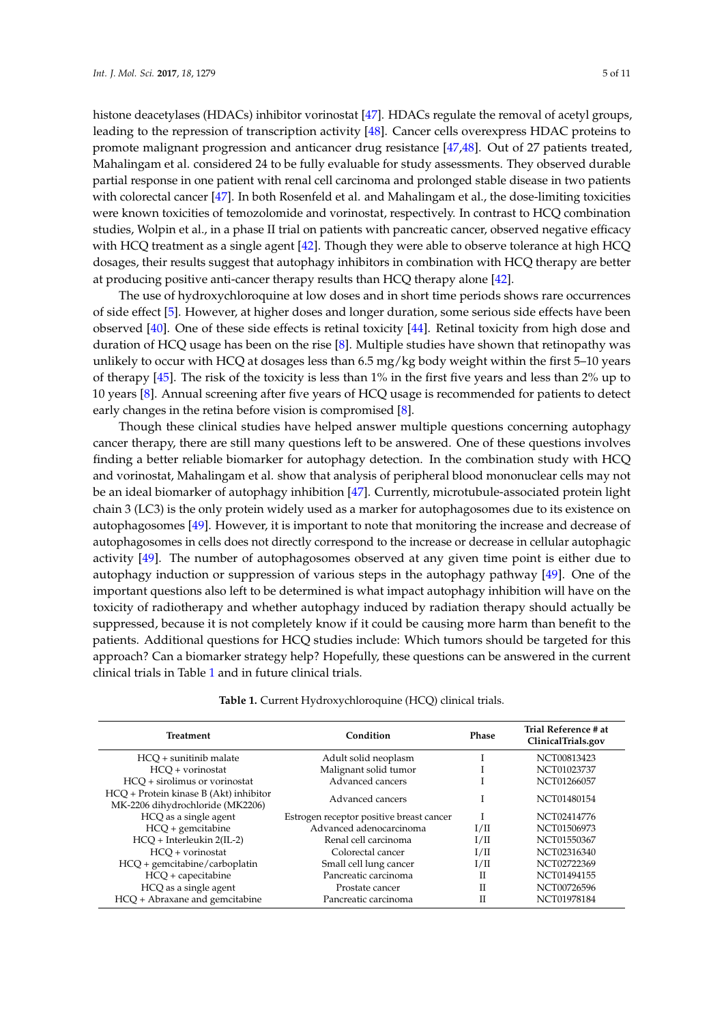histone deacetylases (HDACs) inhibitor vorinostat [\[47\]](#page-9-1). HDACs regulate the removal of acetyl groups, leading to the repression of transcription activity [\[48\]](#page-9-5). Cancer cells overexpress HDAC proteins to promote malignant progression and anticancer drug resistance [\[47,](#page-9-1)[48\]](#page-9-5). Out of 27 patients treated, Mahalingam et al. considered 24 to be fully evaluable for study assessments. They observed durable partial response in one patient with renal cell carcinoma and prolonged stable disease in two patients with colorectal cancer [\[47\]](#page-9-1). In both Rosenfeld et al. and Mahalingam et al., the dose-limiting toxicities were known toxicities of temozolomide and vorinostat, respectively. In contrast to HCQ combination studies, Wolpin et al., in a phase II trial on patients with pancreatic cancer, observed negative efficacy with HCQ treatment as a single agent [\[42\]](#page-8-17). Though they were able to observe tolerance at high HCQ dosages, their results suggest that autophagy inhibitors in combination with HCQ therapy are better at producing positive anti-cancer therapy results than HCQ therapy alone [\[42\]](#page-8-17).

The use of hydroxychloroquine at low doses and in short time periods shows rare occurrences of side effect [\[5\]](#page-7-4). However, at higher doses and longer duration, some serious side effects have been observed [\[40\]](#page-8-15). One of these side effects is retinal toxicity [\[44\]](#page-9-3). Retinal toxicity from high dose and duration of HCQ usage has been on the rise [\[8\]](#page-7-7). Multiple studies have shown that retinopathy was unlikely to occur with HCQ at dosages less than 6.5 mg/kg body weight within the first 5–10 years of therapy [\[45\]](#page-9-2). The risk of the toxicity is less than 1% in the first five years and less than 2% up to 10 years [\[8\]](#page-7-7). Annual screening after five years of HCQ usage is recommended for patients to detect early changes in the retina before vision is compromised [\[8\]](#page-7-7).

Though these clinical studies have helped answer multiple questions concerning autophagy cancer therapy, there are still many questions left to be answered. One of these questions involves finding a better reliable biomarker for autophagy detection. In the combination study with HCQ and vorinostat, Mahalingam et al. show that analysis of peripheral blood mononuclear cells may not be an ideal biomarker of autophagy inhibition [\[47\]](#page-9-1). Currently, microtubule-associated protein light chain 3 (LC3) is the only protein widely used as a marker for autophagosomes due to its existence on autophagosomes [\[49\]](#page-9-6). However, it is important to note that monitoring the increase and decrease of autophagosomes in cells does not directly correspond to the increase or decrease in cellular autophagic activity [\[49\]](#page-9-6). The number of autophagosomes observed at any given time point is either due to autophagy induction or suppression of various steps in the autophagy pathway [\[49\]](#page-9-6). One of the important questions also left to be determined is what impact autophagy inhibition will have on the toxicity of radiotherapy and whether autophagy induced by radiation therapy should actually be suppressed, because it is not completely know if it could be causing more harm than benefit to the patients. Additional questions for HCQ studies include: Which tumors should be targeted for this approach? Can a biomarker strategy help? Hopefully, these questions can be answered in the current clinical trials in Table [1](#page-4-0) and in future clinical trials.

**Table 1.** Current Hydroxychloroquine (HCQ) clinical trials.

<span id="page-4-0"></span>

| <b>Treatment</b>                                                           | Condition                                | <b>Phase</b> | Trial Reference # at<br>ClinicalTrials.gov |
|----------------------------------------------------------------------------|------------------------------------------|--------------|--------------------------------------------|
| HCO + sunitinib malate                                                     | Adult solid neoplasm                     |              | NCT00813423                                |
| $HCO + vorinostat$                                                         | Malignant solid tumor                    |              | NCT01023737                                |
| HCO + sirolimus or vorinostat                                              | Advanced cancers                         |              | NCT01266057                                |
| HCQ + Protein kinase B (Akt) inhibitor<br>MK-2206 dihydrochloride (MK2206) | Advanced cancers                         |              | NCT01480154                                |
| HCQ as a single agent                                                      | Estrogen receptor positive breast cancer |              | NCT02414776                                |
| $HCO +$ gemcitabine                                                        | Advanced adenocarcinoma                  | $1/\Pi$      | NCT01506973                                |
| HCO + Interleukin 2(IL-2)                                                  | Renal cell carcinoma                     | $1/\Pi$      | NCT01550367                                |
| $HCO + vorinostat$                                                         | Colorectal cancer                        | $1/\Pi$      | NCT02316340                                |
| $HCQ +$ gemcitabine/carboplatin                                            | Small cell lung cancer                   | I/II         | NCT02722369                                |
| $HCO +$ capecitabine                                                       | Pancreatic carcinoma                     | П            | NCT01494155                                |
| HCQ as a single agent                                                      | Prostate cancer                          | $_{\rm II}$  | NCT00726596                                |
| HCQ + Abraxane and gemcitabine                                             | Pancreatic carcinoma                     | $_{\rm II}$  | NCT01978184                                |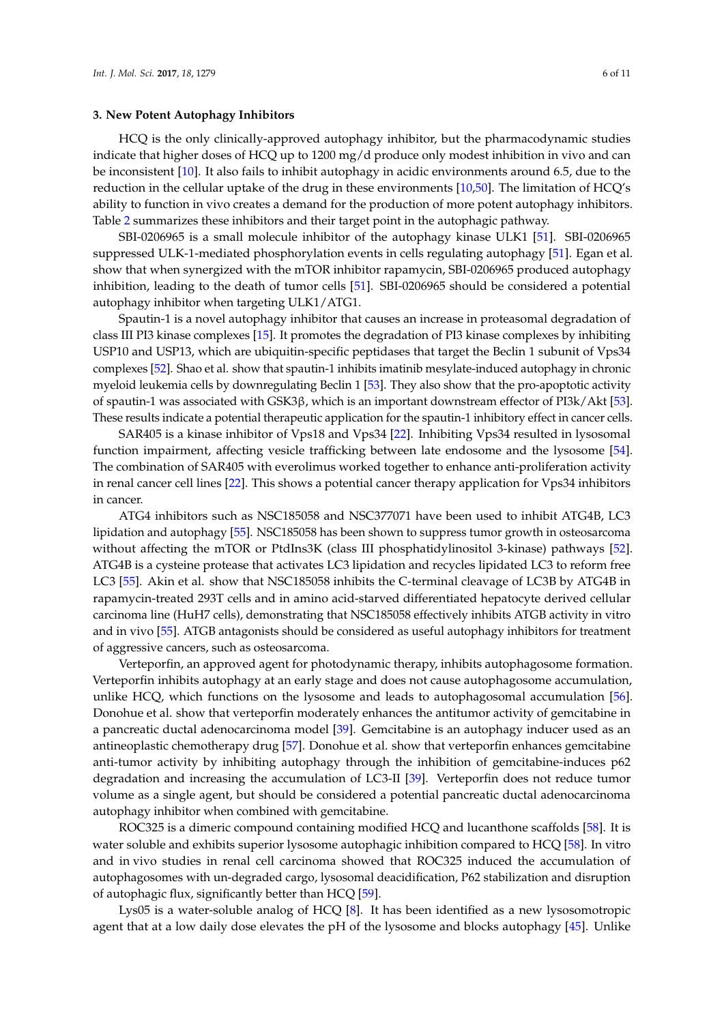#### **3. New Potent Autophagy Inhibitors**

HCQ is the only clinically-approved autophagy inhibitor, but the pharmacodynamic studies indicate that higher doses of HCQ up to 1200 mg/d produce only modest inhibition in vivo and can be inconsistent [\[10\]](#page-7-9). It also fails to inhibit autophagy in acidic environments around 6.5, due to the reduction in the cellular uptake of the drug in these environments [\[10](#page-7-9)[,50\]](#page-9-7). The limitation of HCQ's ability to function in vivo creates a demand for the production of more potent autophagy inhibitors. Table [2](#page-6-0) summarizes these inhibitors and their target point in the autophagic pathway.

SBI-0206965 is a small molecule inhibitor of the autophagy kinase ULK1 [\[51\]](#page-9-8). SBI-0206965 suppressed ULK-1-mediated phosphorylation events in cells regulating autophagy [\[51\]](#page-9-8). Egan et al. show that when synergized with the mTOR inhibitor rapamycin, SBI-0206965 produced autophagy inhibition, leading to the death of tumor cells [\[51\]](#page-9-8). SBI-0206965 should be considered a potential autophagy inhibitor when targeting ULK1/ATG1.

Spautin-1 is a novel autophagy inhibitor that causes an increase in proteasomal degradation of class III PI3 kinase complexes [\[15\]](#page-7-17). It promotes the degradation of PI3 kinase complexes by inhibiting USP10 and USP13, which are ubiquitin-specific peptidases that target the Beclin 1 subunit of Vps34 complexes [\[52\]](#page-9-9). Shao et al. show that spautin-1 inhibits imatinib mesylate-induced autophagy in chronic myeloid leukemia cells by downregulating Beclin 1 [\[53\]](#page-9-10). They also show that the pro-apoptotic activity of spautin-1 was associated with GSK3β, which is an important downstream effector of PI3k/Akt [\[53\]](#page-9-10). These results indicate a potential therapeutic application for the spautin-1 inhibitory effect in cancer cells.

SAR405 is a kinase inhibitor of Vps18 and Vps34 [\[22\]](#page-7-18). Inhibiting Vps34 resulted in lysosomal function impairment, affecting vesicle trafficking between late endosome and the lysosome [\[54\]](#page-9-11). The combination of SAR405 with everolimus worked together to enhance anti-proliferation activity in renal cancer cell lines [\[22\]](#page-7-18). This shows a potential cancer therapy application for Vps34 inhibitors in cancer.

ATG4 inhibitors such as NSC185058 and NSC377071 have been used to inhibit ATG4B, LC3 lipidation and autophagy [\[55\]](#page-9-12). NSC185058 has been shown to suppress tumor growth in osteosarcoma without affecting the mTOR or PtdIns3K (class III phosphatidylinositol 3-kinase) pathways [\[52\]](#page-9-9). ATG4B is a cysteine protease that activates LC3 lipidation and recycles lipidated LC3 to reform free LC3 [\[55\]](#page-9-12). Akin et al. show that NSC185058 inhibits the C-terminal cleavage of LC3B by ATG4B in rapamycin-treated 293T cells and in amino acid-starved differentiated hepatocyte derived cellular carcinoma line (HuH7 cells), demonstrating that NSC185058 effectively inhibits ATGB activity in vitro and in vivo [\[55\]](#page-9-12). ATGB antagonists should be considered as useful autophagy inhibitors for treatment of aggressive cancers, such as osteosarcoma.

Verteporfin, an approved agent for photodynamic therapy, inhibits autophagosome formation. Verteporfin inhibits autophagy at an early stage and does not cause autophagosome accumulation, unlike HCQ, which functions on the lysosome and leads to autophagosomal accumulation [\[56\]](#page-9-13). Donohue et al. show that verteporfin moderately enhances the antitumor activity of gemcitabine in a pancreatic ductal adenocarcinoma model [\[39\]](#page-8-14). Gemcitabine is an autophagy inducer used as an antineoplastic chemotherapy drug [\[57\]](#page-9-14). Donohue et al. show that verteporfin enhances gemcitabine anti-tumor activity by inhibiting autophagy through the inhibition of gemcitabine-induces p62 degradation and increasing the accumulation of LC3-II [\[39\]](#page-8-14). Verteporfin does not reduce tumor volume as a single agent, but should be considered a potential pancreatic ductal adenocarcinoma autophagy inhibitor when combined with gemcitabine.

ROC325 is a dimeric compound containing modified HCQ and lucanthone scaffolds [\[58\]](#page-9-15). It is water soluble and exhibits superior lysosome autophagic inhibition compared to HCQ [\[58\]](#page-9-15). In vitro and in vivo studies in renal cell carcinoma showed that ROC325 induced the accumulation of autophagosomes with un-degraded cargo, lysosomal deacidification, P62 stabilization and disruption of autophagic flux, significantly better than HCQ [\[59\]](#page-9-16).

Lys05 is a water-soluble analog of HCQ [\[8\]](#page-7-7). It has been identified as a new lysosomotropic agent that at a low daily dose elevates the pH of the lysosome and blocks autophagy [\[45\]](#page-9-2). Unlike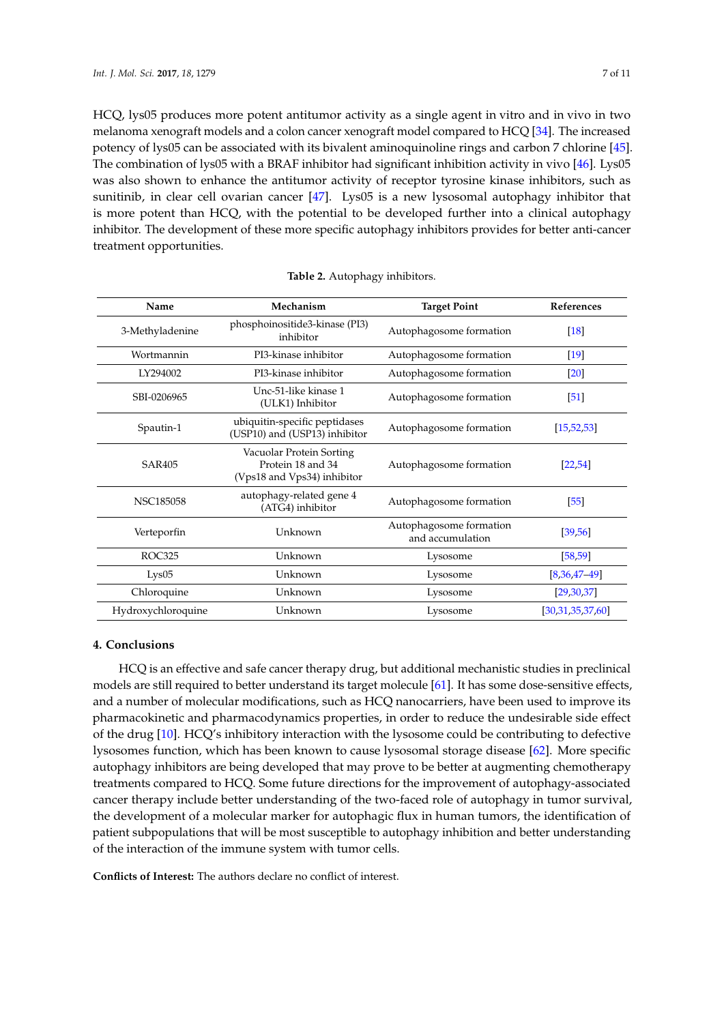HCQ, lys05 produces more potent antitumor activity as a single agent in vitro and in vivo in two melanoma xenograft models and a colon cancer xenograft model compared to HCQ [\[34\]](#page-8-11). The increased potency of lys05 can be associated with its bivalent aminoquinoline rings and carbon 7 chlorine [\[45\]](#page-9-2). The combination of lys05 with a BRAF inhibitor had significant inhibition activity in vivo [\[46\]](#page-9-4). Lys05 was also shown to enhance the antitumor activity of receptor tyrosine kinase inhibitors, such as sunitinib, in clear cell ovarian cancer [\[47\]](#page-9-1). Lys05 is a new lysosomal autophagy inhibitor that is more potent than HCQ, with the potential to be developed further into a clinical autophagy inhibitor. The development of these more specific autophagy inhibitors provides for better anti-cancer treatment opportunities.

<span id="page-6-0"></span>

| Name               | Mechanism                                                                    | <b>Target Point</b>                         | References         |
|--------------------|------------------------------------------------------------------------------|---------------------------------------------|--------------------|
| 3-Methyladenine    | phosphoinositide3-kinase (PI3)<br>inhibitor                                  | Autophagosome formation                     | [18]               |
| Wortmannin         | PI3-kinase inhibitor                                                         | Autophagosome formation                     | $\lceil 19 \rceil$ |
| LY294002           | PI3-kinase inhibitor                                                         | Autophagosome formation                     | $\lceil 20 \rceil$ |
| SBI-0206965        | Unc-51-like kinase 1<br>(ULK1) Inhibitor                                     | Autophagosome formation                     | [51]               |
| Spautin-1          | ubiquitin-specific peptidases<br>(USP10) and (USP13) inhibitor               | Autophagosome formation                     | [15, 52, 53]       |
| <b>SAR405</b>      | Vacuolar Protein Sorting<br>Protein 18 and 34<br>(Vps18 and Vps34) inhibitor | Autophagosome formation                     | [22, 54]           |
| <b>NSC185058</b>   | autophagy-related gene 4<br>(ATG4) inhibitor                                 | Autophagosome formation                     | [55]               |
| Verteporfin        | Unknown                                                                      | Autophagosome formation<br>and accumulation | [39, 56]           |
| ROC325             | Unknown                                                                      | Lysosome                                    | [58, 59]           |
| Lys05              | Unknown                                                                      | Lysosome                                    | $[8,36,47-49]$     |
| Chloroquine        | Unknown                                                                      | Lysosome                                    | [29, 30, 37]       |
| Hydroxychloroquine | Unknown                                                                      | Lysosome                                    | [30,31,35,37,60]   |

#### **Table 2.** Autophagy inhibitors.

### **4. Conclusions**

HCQ is an effective and safe cancer therapy drug, but additional mechanistic studies in preclinical models are still required to better understand its target molecule [\[61\]](#page-10-1). It has some dose-sensitive effects, and a number of molecular modifications, such as HCQ nanocarriers, have been used to improve its pharmacokinetic and pharmacodynamics properties, in order to reduce the undesirable side effect of the drug [\[10\]](#page-7-9). HCQ's inhibitory interaction with the lysosome could be contributing to defective lysosomes function, which has been known to cause lysosomal storage disease [\[62\]](#page-10-2). More specific autophagy inhibitors are being developed that may prove to be better at augmenting chemotherapy treatments compared to HCQ. Some future directions for the improvement of autophagy-associated cancer therapy include better understanding of the two-faced role of autophagy in tumor survival, the development of a molecular marker for autophagic flux in human tumors, the identification of patient subpopulations that will be most susceptible to autophagy inhibition and better understanding of the interaction of the immune system with tumor cells.

**Conflicts of Interest:** The authors declare no conflict of interest.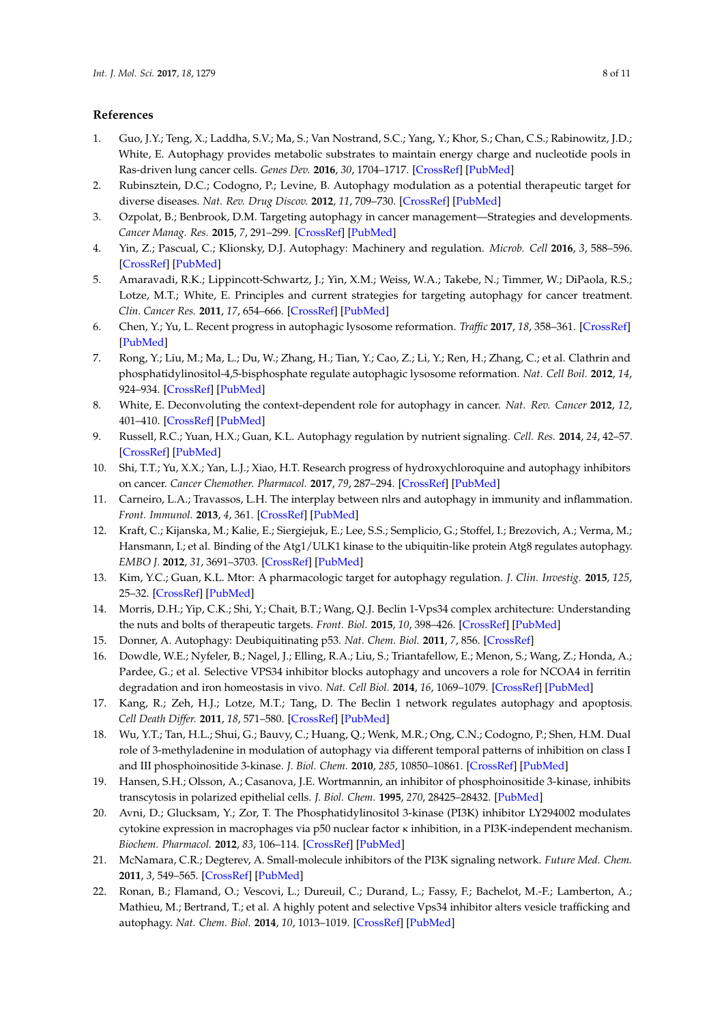## **References**

- <span id="page-7-0"></span>1. Guo, J.Y.; Teng, X.; Laddha, S.V.; Ma, S.; Van Nostrand, S.C.; Yang, Y.; Khor, S.; Chan, C.S.; Rabinowitz, J.D.; White, E. Autophagy provides metabolic substrates to maintain energy charge and nucleotide pools in Ras-driven lung cancer cells. *Genes Dev.* **2016**, *30*, 1704–1717. [\[CrossRef\]](http://dx.doi.org/10.1101/gad.283416.116) [\[PubMed\]](http://www.ncbi.nlm.nih.gov/pubmed/27516533)
- <span id="page-7-1"></span>2. Rubinsztein, D.C.; Codogno, P.; Levine, B. Autophagy modulation as a potential therapeutic target for diverse diseases. *Nat. Rev. Drug Discov.* **2012**, *11*, 709–730. [\[CrossRef\]](http://dx.doi.org/10.1038/nrd3802) [\[PubMed\]](http://www.ncbi.nlm.nih.gov/pubmed/22935804)
- <span id="page-7-2"></span>3. Ozpolat, B.; Benbrook, D.M. Targeting autophagy in cancer management—Strategies and developments. *Cancer Manag. Res.* **2015**, *7*, 291–299. [\[CrossRef\]](http://dx.doi.org/10.2147/CMAR.S34859) [\[PubMed\]](http://www.ncbi.nlm.nih.gov/pubmed/26392787)
- <span id="page-7-3"></span>4. Yin, Z.; Pascual, C.; Klionsky, D.J. Autophagy: Machinery and regulation. *Microb. Cell* **2016**, *3*, 588–596. [\[CrossRef\]](http://dx.doi.org/10.15698/mic2016.12.546) [\[PubMed\]](http://www.ncbi.nlm.nih.gov/pubmed/28357331)
- <span id="page-7-4"></span>5. Amaravadi, R.K.; Lippincott-Schwartz, J.; Yin, X.M.; Weiss, W.A.; Takebe, N.; Timmer, W.; DiPaola, R.S.; Lotze, M.T.; White, E. Principles and current strategies for targeting autophagy for cancer treatment. *Clin. Cancer Res.* **2011**, *17*, 654–666. [\[CrossRef\]](http://dx.doi.org/10.1158/1078-0432.CCR-10-2634) [\[PubMed\]](http://www.ncbi.nlm.nih.gov/pubmed/21325294)
- <span id="page-7-5"></span>6. Chen, Y.; Yu, L. Recent progress in autophagic lysosome reformation. *Traffic* **2017**, *18*, 358–361. [\[CrossRef\]](http://dx.doi.org/10.1111/tra.12484) [\[PubMed\]](http://www.ncbi.nlm.nih.gov/pubmed/28371052)
- <span id="page-7-6"></span>7. Rong, Y.; Liu, M.; Ma, L.; Du, W.; Zhang, H.; Tian, Y.; Cao, Z.; Li, Y.; Ren, H.; Zhang, C.; et al. Clathrin and phosphatidylinositol-4,5-bisphosphate regulate autophagic lysosome reformation. *Nat. Cell Boil.* **2012**, *14*, 924–934. [\[CrossRef\]](http://dx.doi.org/10.1038/ncb2557) [\[PubMed\]](http://www.ncbi.nlm.nih.gov/pubmed/22885770)
- <span id="page-7-7"></span>8. White, E. Deconvoluting the context-dependent role for autophagy in cancer. *Nat. Rev. Cancer* **2012**, *12*, 401–410. [\[CrossRef\]](http://dx.doi.org/10.1038/nrc3262) [\[PubMed\]](http://www.ncbi.nlm.nih.gov/pubmed/22534666)
- <span id="page-7-8"></span>9. Russell, R.C.; Yuan, H.X.; Guan, K.L. Autophagy regulation by nutrient signaling. *Cell. Res.* **2014**, *24*, 42–57. [\[CrossRef\]](http://dx.doi.org/10.1038/cr.2013.166) [\[PubMed\]](http://www.ncbi.nlm.nih.gov/pubmed/24343578)
- <span id="page-7-9"></span>10. Shi, T.T.; Yu, X.X.; Yan, L.J.; Xiao, H.T. Research progress of hydroxychloroquine and autophagy inhibitors on cancer. *Cancer Chemother. Pharmacol.* **2017**, *79*, 287–294. [\[CrossRef\]](http://dx.doi.org/10.1007/s00280-016-3197-1) [\[PubMed\]](http://www.ncbi.nlm.nih.gov/pubmed/27889812)
- <span id="page-7-10"></span>11. Carneiro, L.A.; Travassos, L.H. The interplay between nlrs and autophagy in immunity and inflammation. *Front. Immunol.* **2013**, *4*, 361. [\[CrossRef\]](http://dx.doi.org/10.3389/fimmu.2013.00361) [\[PubMed\]](http://www.ncbi.nlm.nih.gov/pubmed/24273538)
- <span id="page-7-11"></span>12. Kraft, C.; Kijanska, M.; Kalie, E.; Siergiejuk, E.; Lee, S.S.; Semplicio, G.; Stoffel, I.; Brezovich, A.; Verma, M.; Hansmann, I.; et al. Binding of the Atg1/ULK1 kinase to the ubiquitin-like protein Atg8 regulates autophagy. *EMBO J.* **2012**, *31*, 3691–3703. [\[CrossRef\]](http://dx.doi.org/10.1038/emboj.2012.225) [\[PubMed\]](http://www.ncbi.nlm.nih.gov/pubmed/22885598)
- <span id="page-7-12"></span>13. Kim, Y.C.; Guan, K.L. Mtor: A pharmacologic target for autophagy regulation. *J. Clin. Investig.* **2015**, *125*, 25–32. [\[CrossRef\]](http://dx.doi.org/10.1172/JCI73939) [\[PubMed\]](http://www.ncbi.nlm.nih.gov/pubmed/25654547)
- <span id="page-7-13"></span>14. Morris, D.H.; Yip, C.K.; Shi, Y.; Chait, B.T.; Wang, Q.J. Beclin 1-Vps34 complex architecture: Understanding the nuts and bolts of therapeutic targets. *Front. Biol.* **2015**, *10*, 398–426. [\[CrossRef\]](http://dx.doi.org/10.1007/s11515-015-1374-y) [\[PubMed\]](http://www.ncbi.nlm.nih.gov/pubmed/26692106)
- <span id="page-7-17"></span>15. Donner, A. Autophagy: Deubiquitinating p53. *Nat. Chem. Biol.* **2011**, *7*, 856. [\[CrossRef\]](http://dx.doi.org/10.1038/nchembio.723)
- <span id="page-7-14"></span>16. Dowdle, W.E.; Nyfeler, B.; Nagel, J.; Elling, R.A.; Liu, S.; Triantafellow, E.; Menon, S.; Wang, Z.; Honda, A.; Pardee, G.; et al. Selective VPS34 inhibitor blocks autophagy and uncovers a role for NCOA4 in ferritin degradation and iron homeostasis in vivo. *Nat. Cell Biol.* **2014**, *16*, 1069–1079. [\[CrossRef\]](http://dx.doi.org/10.1038/ncb3053) [\[PubMed\]](http://www.ncbi.nlm.nih.gov/pubmed/25327288)
- <span id="page-7-15"></span>17. Kang, R.; Zeh, H.J.; Lotze, M.T.; Tang, D. The Beclin 1 network regulates autophagy and apoptosis. *Cell Death Differ.* **2011**, *18*, 571–580. [\[CrossRef\]](http://dx.doi.org/10.1038/cdd.2010.191) [\[PubMed\]](http://www.ncbi.nlm.nih.gov/pubmed/21311563)
- <span id="page-7-16"></span>18. Wu, Y.T.; Tan, H.L.; Shui, G.; Bauvy, C.; Huang, Q.; Wenk, M.R.; Ong, C.N.; Codogno, P.; Shen, H.M. Dual role of 3-methyladenine in modulation of autophagy via different temporal patterns of inhibition on class I and III phosphoinositide 3-kinase. *J. Biol. Chem.* **2010**, *285*, 10850–10861. [\[CrossRef\]](http://dx.doi.org/10.1074/jbc.M109.080796) [\[PubMed\]](http://www.ncbi.nlm.nih.gov/pubmed/20123989)
- <span id="page-7-19"></span>19. Hansen, S.H.; Olsson, A.; Casanova, J.E. Wortmannin, an inhibitor of phosphoinositide 3-kinase, inhibits transcytosis in polarized epithelial cells. *J. Biol. Chem.* **1995**, *270*, 28425–28432. [\[PubMed\]](http://www.ncbi.nlm.nih.gov/pubmed/7499348)
- <span id="page-7-20"></span>20. Avni, D.; Glucksam, Y.; Zor, T. The Phosphatidylinositol 3-kinase (PI3K) inhibitor LY294002 modulates cytokine expression in macrophages via p50 nuclear factor κ inhibition, in a PI3K-independent mechanism. *Biochem. Pharmacol.* **2012**, *83*, 106–114. [\[CrossRef\]](http://dx.doi.org/10.1016/j.bcp.2011.09.025) [\[PubMed\]](http://www.ncbi.nlm.nih.gov/pubmed/22005520)
- 21. McNamara, C.R.; Degterev, A. Small-molecule inhibitors of the PI3K signaling network. *Future Med. Chem.* **2011**, *3*, 549–565. [\[CrossRef\]](http://dx.doi.org/10.4155/fmc.11.12) [\[PubMed\]](http://www.ncbi.nlm.nih.gov/pubmed/21526896)
- <span id="page-7-18"></span>22. Ronan, B.; Flamand, O.; Vescovi, L.; Dureuil, C.; Durand, L.; Fassy, F.; Bachelot, M.-F.; Lamberton, A.; Mathieu, M.; Bertrand, T.; et al. A highly potent and selective Vps34 inhibitor alters vesicle trafficking and autophagy. *Nat. Chem. Biol.* **2014**, *10*, 1013–1019. [\[CrossRef\]](http://dx.doi.org/10.1038/nchembio.1681) [\[PubMed\]](http://www.ncbi.nlm.nih.gov/pubmed/25326666)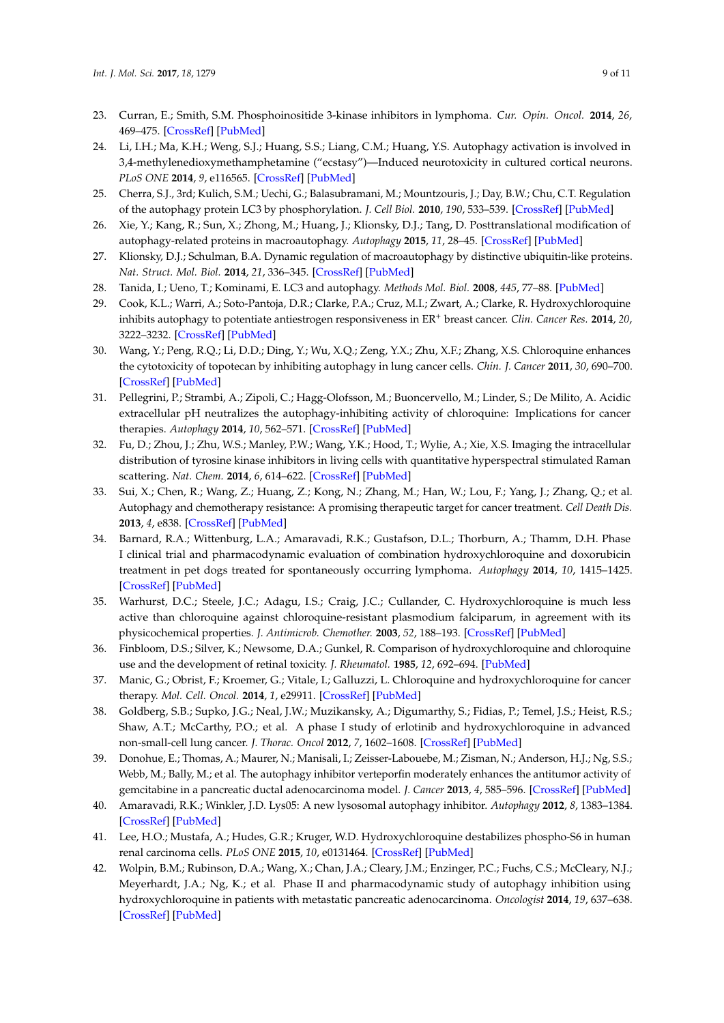- <span id="page-8-0"></span>23. Curran, E.; Smith, S.M. Phosphoinositide 3-kinase inhibitors in lymphoma. *Cur. Opin. Oncol.* **2014**, *26*, 469–475. [\[CrossRef\]](http://dx.doi.org/10.1097/CCO.0000000000000113) [\[PubMed\]](http://www.ncbi.nlm.nih.gov/pubmed/25024054)
- <span id="page-8-1"></span>24. Li, I.H.; Ma, K.H.; Weng, S.J.; Huang, S.S.; Liang, C.M.; Huang, Y.S. Autophagy activation is involved in 3,4-methylenedioxymethamphetamine ("ecstasy")—Induced neurotoxicity in cultured cortical neurons. *PLoS ONE* **2014**, *9*, e116565. [\[CrossRef\]](http://dx.doi.org/10.1371/journal.pone.0116565) [\[PubMed\]](http://www.ncbi.nlm.nih.gov/pubmed/25551657)
- <span id="page-8-2"></span>25. Cherra, S.J., 3rd; Kulich, S.M.; Uechi, G.; Balasubramani, M.; Mountzouris, J.; Day, B.W.; Chu, C.T. Regulation of the autophagy protein LC3 by phosphorylation. *J. Cell Biol.* **2010**, *190*, 533–539. [\[CrossRef\]](http://dx.doi.org/10.1083/jcb.201002108) [\[PubMed\]](http://www.ncbi.nlm.nih.gov/pubmed/20713600)
- <span id="page-8-3"></span>26. Xie, Y.; Kang, R.; Sun, X.; Zhong, M.; Huang, J.; Klionsky, D.J.; Tang, D. Posttranslational modification of autophagy-related proteins in macroautophagy. *Autophagy* **2015**, *11*, 28–45. [\[CrossRef\]](http://dx.doi.org/10.4161/15548627.2014.984267) [\[PubMed\]](http://www.ncbi.nlm.nih.gov/pubmed/25484070)
- <span id="page-8-4"></span>27. Klionsky, D.J.; Schulman, B.A. Dynamic regulation of macroautophagy by distinctive ubiquitin-like proteins. *Nat. Struct. Mol. Biol.* **2014**, *21*, 336–345. [\[CrossRef\]](http://dx.doi.org/10.1038/nsmb.2787) [\[PubMed\]](http://www.ncbi.nlm.nih.gov/pubmed/24699082)
- <span id="page-8-5"></span>28. Tanida, I.; Ueno, T.; Kominami, E. LC3 and autophagy. *Methods Mol. Biol.* **2008**, *445*, 77–88. [\[PubMed\]](http://www.ncbi.nlm.nih.gov/pubmed/18425443)
- <span id="page-8-6"></span>29. Cook, K.L.; Warri, A.; Soto-Pantoja, D.R.; Clarke, P.A.; Cruz, M.I.; Zwart, A.; Clarke, R. Hydroxychloroquine inhibits autophagy to potentiate antiestrogen responsiveness in ER<sup>+</sup> breast cancer. *Clin. Cancer Res.* 2014, 20, 3222–3232. [\[CrossRef\]](http://dx.doi.org/10.1158/1078-0432.CCR-13-3227) [\[PubMed\]](http://www.ncbi.nlm.nih.gov/pubmed/24928945)
- <span id="page-8-7"></span>30. Wang, Y.; Peng, R.Q.; Li, D.D.; Ding, Y.; Wu, X.Q.; Zeng, Y.X.; Zhu, X.F.; Zhang, X.S. Chloroquine enhances the cytotoxicity of topotecan by inhibiting autophagy in lung cancer cells. *Chin. J. Cancer* **2011**, *30*, 690–700. [\[CrossRef\]](http://dx.doi.org/10.5732/cjc.011.10056) [\[PubMed\]](http://www.ncbi.nlm.nih.gov/pubmed/21959046)
- <span id="page-8-8"></span>31. Pellegrini, P.; Strambi, A.; Zipoli, C.; Hagg-Olofsson, M.; Buoncervello, M.; Linder, S.; De Milito, A. Acidic extracellular pH neutralizes the autophagy-inhibiting activity of chloroquine: Implications for cancer therapies. *Autophagy* **2014**, *10*, 562–571. [\[CrossRef\]](http://dx.doi.org/10.4161/auto.27901) [\[PubMed\]](http://www.ncbi.nlm.nih.gov/pubmed/24492472)
- <span id="page-8-9"></span>32. Fu, D.; Zhou, J.; Zhu, W.S.; Manley, P.W.; Wang, Y.K.; Hood, T.; Wylie, A.; Xie, X.S. Imaging the intracellular distribution of tyrosine kinase inhibitors in living cells with quantitative hyperspectral stimulated Raman scattering. *Nat. Chem.* **2014**, *6*, 614–622. [\[CrossRef\]](http://dx.doi.org/10.1038/nchem.1961) [\[PubMed\]](http://www.ncbi.nlm.nih.gov/pubmed/24950332)
- <span id="page-8-10"></span>33. Sui, X.; Chen, R.; Wang, Z.; Huang, Z.; Kong, N.; Zhang, M.; Han, W.; Lou, F.; Yang, J.; Zhang, Q.; et al. Autophagy and chemotherapy resistance: A promising therapeutic target for cancer treatment. *Cell Death Dis.* **2013**, *4*, e838. [\[CrossRef\]](http://dx.doi.org/10.1038/cddis.2013.350) [\[PubMed\]](http://www.ncbi.nlm.nih.gov/pubmed/24113172)
- <span id="page-8-11"></span>34. Barnard, R.A.; Wittenburg, L.A.; Amaravadi, R.K.; Gustafson, D.L.; Thorburn, A.; Thamm, D.H. Phase I clinical trial and pharmacodynamic evaluation of combination hydroxychloroquine and doxorubicin treatment in pet dogs treated for spontaneously occurring lymphoma. *Autophagy* **2014**, *10*, 1415–1425. [\[CrossRef\]](http://dx.doi.org/10.4161/auto.29165) [\[PubMed\]](http://www.ncbi.nlm.nih.gov/pubmed/24991836)
- <span id="page-8-19"></span>35. Warhurst, D.C.; Steele, J.C.; Adagu, I.S.; Craig, J.C.; Cullander, C. Hydroxychloroquine is much less active than chloroquine against chloroquine-resistant plasmodium falciparum, in agreement with its physicochemical properties. *J. Antimicrob. Chemother.* **2003**, *52*, 188–193. [\[CrossRef\]](http://dx.doi.org/10.1093/jac/dkg319) [\[PubMed\]](http://www.ncbi.nlm.nih.gov/pubmed/12837731)
- <span id="page-8-18"></span>36. Finbloom, D.S.; Silver, K.; Newsome, D.A.; Gunkel, R. Comparison of hydroxychloroquine and chloroquine use and the development of retinal toxicity. *J. Rheumatol.* **1985**, *12*, 692–694. [\[PubMed\]](http://www.ncbi.nlm.nih.gov/pubmed/4057189)
- <span id="page-8-12"></span>37. Manic, G.; Obrist, F.; Kroemer, G.; Vitale, I.; Galluzzi, L. Chloroquine and hydroxychloroquine for cancer therapy. *Mol. Cell. Oncol.* **2014**, *1*, e29911. [\[CrossRef\]](http://dx.doi.org/10.4161/mco.29911) [\[PubMed\]](http://www.ncbi.nlm.nih.gov/pubmed/27308318)
- <span id="page-8-13"></span>38. Goldberg, S.B.; Supko, J.G.; Neal, J.W.; Muzikansky, A.; Digumarthy, S.; Fidias, P.; Temel, J.S.; Heist, R.S.; Shaw, A.T.; McCarthy, P.O.; et al. A phase I study of erlotinib and hydroxychloroquine in advanced non-small-cell lung cancer. *J. Thorac. Oncol* **2012**, *7*, 1602–1608. [\[CrossRef\]](http://dx.doi.org/10.1097/JTO.0b013e318262de4a) [\[PubMed\]](http://www.ncbi.nlm.nih.gov/pubmed/22878749)
- <span id="page-8-14"></span>39. Donohue, E.; Thomas, A.; Maurer, N.; Manisali, I.; Zeisser-Labouebe, M.; Zisman, N.; Anderson, H.J.; Ng, S.S.; Webb, M.; Bally, M.; et al. The autophagy inhibitor verteporfin moderately enhances the antitumor activity of gemcitabine in a pancreatic ductal adenocarcinoma model. *J. Cancer* **2013**, *4*, 585–596. [\[CrossRef\]](http://dx.doi.org/10.7150/jca.7030) [\[PubMed\]](http://www.ncbi.nlm.nih.gov/pubmed/24069069)
- <span id="page-8-15"></span>40. Amaravadi, R.K.; Winkler, J.D. Lys05: A new lysosomal autophagy inhibitor. *Autophagy* **2012**, *8*, 1383–1384. [\[CrossRef\]](http://dx.doi.org/10.4161/auto.20958) [\[PubMed\]](http://www.ncbi.nlm.nih.gov/pubmed/22878685)
- <span id="page-8-16"></span>41. Lee, H.O.; Mustafa, A.; Hudes, G.R.; Kruger, W.D. Hydroxychloroquine destabilizes phospho-S6 in human renal carcinoma cells. *PLoS ONE* **2015**, *10*, e0131464. [\[CrossRef\]](http://dx.doi.org/10.1371/journal.pone.0131464) [\[PubMed\]](http://www.ncbi.nlm.nih.gov/pubmed/26134285)
- <span id="page-8-17"></span>42. Wolpin, B.M.; Rubinson, D.A.; Wang, X.; Chan, J.A.; Cleary, J.M.; Enzinger, P.C.; Fuchs, C.S.; McCleary, N.J.; Meyerhardt, J.A.; Ng, K.; et al. Phase II and pharmacodynamic study of autophagy inhibition using hydroxychloroquine in patients with metastatic pancreatic adenocarcinoma. *Oncologist* **2014**, *19*, 637–638. [\[CrossRef\]](http://dx.doi.org/10.1634/theoncologist.2014-0086) [\[PubMed\]](http://www.ncbi.nlm.nih.gov/pubmed/24821822)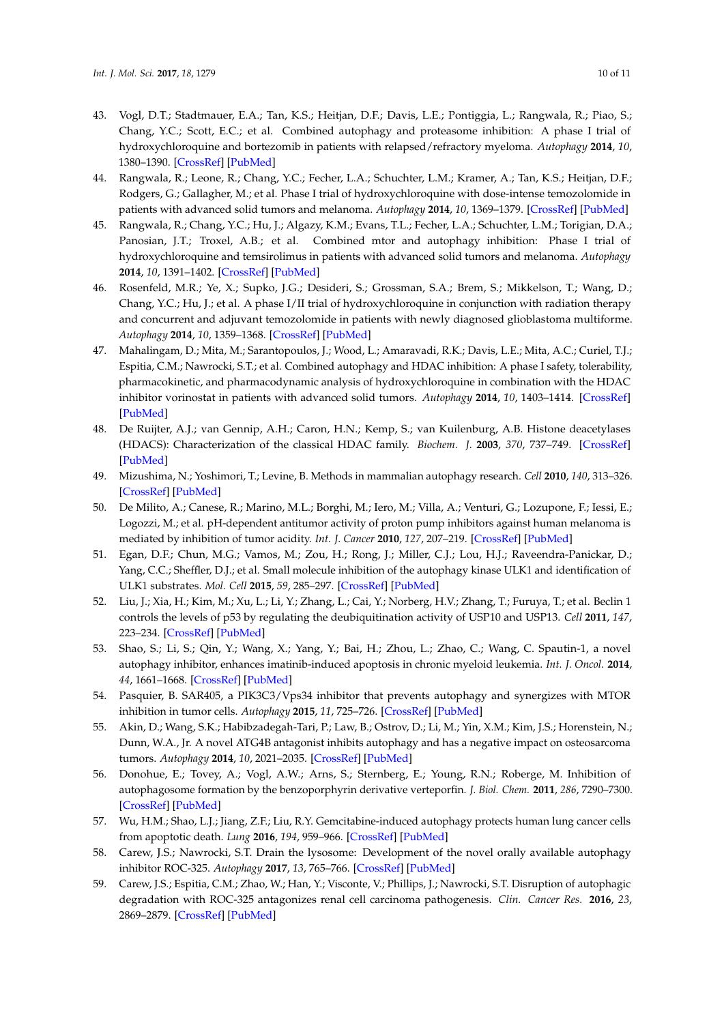- <span id="page-9-0"></span>43. Vogl, D.T.; Stadtmauer, E.A.; Tan, K.S.; Heitjan, D.F.; Davis, L.E.; Pontiggia, L.; Rangwala, R.; Piao, S.; Chang, Y.C.; Scott, E.C.; et al. Combined autophagy and proteasome inhibition: A phase I trial of hydroxychloroquine and bortezomib in patients with relapsed/refractory myeloma. *Autophagy* **2014**, *10*, 1380–1390. [\[CrossRef\]](http://dx.doi.org/10.4161/auto.29264) [\[PubMed\]](http://www.ncbi.nlm.nih.gov/pubmed/24991834)
- <span id="page-9-3"></span>44. Rangwala, R.; Leone, R.; Chang, Y.C.; Fecher, L.A.; Schuchter, L.M.; Kramer, A.; Tan, K.S.; Heitjan, D.F.; Rodgers, G.; Gallagher, M.; et al. Phase I trial of hydroxychloroquine with dose-intense temozolomide in patients with advanced solid tumors and melanoma. *Autophagy* **2014**, *10*, 1369–1379. [\[CrossRef\]](http://dx.doi.org/10.4161/auto.29118) [\[PubMed\]](http://www.ncbi.nlm.nih.gov/pubmed/24991839)
- <span id="page-9-2"></span>45. Rangwala, R.; Chang, Y.C.; Hu, J.; Algazy, K.M.; Evans, T.L.; Fecher, L.A.; Schuchter, L.M.; Torigian, D.A.; Panosian, J.T.; Troxel, A.B.; et al. Combined mtor and autophagy inhibition: Phase I trial of hydroxychloroquine and temsirolimus in patients with advanced solid tumors and melanoma. *Autophagy* **2014**, *10*, 1391–1402. [\[CrossRef\]](http://dx.doi.org/10.4161/auto.29119) [\[PubMed\]](http://www.ncbi.nlm.nih.gov/pubmed/24991838)
- <span id="page-9-4"></span>46. Rosenfeld, M.R.; Ye, X.; Supko, J.G.; Desideri, S.; Grossman, S.A.; Brem, S.; Mikkelson, T.; Wang, D.; Chang, Y.C.; Hu, J.; et al. A phase I/II trial of hydroxychloroquine in conjunction with radiation therapy and concurrent and adjuvant temozolomide in patients with newly diagnosed glioblastoma multiforme. *Autophagy* **2014**, *10*, 1359–1368. [\[CrossRef\]](http://dx.doi.org/10.4161/auto.28984) [\[PubMed\]](http://www.ncbi.nlm.nih.gov/pubmed/24991840)
- <span id="page-9-1"></span>47. Mahalingam, D.; Mita, M.; Sarantopoulos, J.; Wood, L.; Amaravadi, R.K.; Davis, L.E.; Mita, A.C.; Curiel, T.J.; Espitia, C.M.; Nawrocki, S.T.; et al. Combined autophagy and HDAC inhibition: A phase I safety, tolerability, pharmacokinetic, and pharmacodynamic analysis of hydroxychloroquine in combination with the HDAC inhibitor vorinostat in patients with advanced solid tumors. *Autophagy* **2014**, *10*, 1403–1414. [\[CrossRef\]](http://dx.doi.org/10.4161/auto.29231) [\[PubMed\]](http://www.ncbi.nlm.nih.gov/pubmed/24991835)
- <span id="page-9-5"></span>48. De Ruijter, A.J.; van Gennip, A.H.; Caron, H.N.; Kemp, S.; van Kuilenburg, A.B. Histone deacetylases (HDACS): Characterization of the classical HDAC family. *Biochem. J.* **2003**, *370*, 737–749. [\[CrossRef\]](http://dx.doi.org/10.1042/bj20021321) [\[PubMed\]](http://www.ncbi.nlm.nih.gov/pubmed/12429021)
- <span id="page-9-6"></span>49. Mizushima, N.; Yoshimori, T.; Levine, B. Methods in mammalian autophagy research. *Cell* **2010**, *140*, 313–326. [\[CrossRef\]](http://dx.doi.org/10.1016/j.cell.2010.01.028) [\[PubMed\]](http://www.ncbi.nlm.nih.gov/pubmed/20144757)
- <span id="page-9-7"></span>50. De Milito, A.; Canese, R.; Marino, M.L.; Borghi, M.; Iero, M.; Villa, A.; Venturi, G.; Lozupone, F.; Iessi, E.; Logozzi, M.; et al. pH-dependent antitumor activity of proton pump inhibitors against human melanoma is mediated by inhibition of tumor acidity. *Int. J. Cancer* **2010**, *127*, 207–219. [\[CrossRef\]](http://dx.doi.org/10.1002/ijc.25009) [\[PubMed\]](http://www.ncbi.nlm.nih.gov/pubmed/19876915)
- <span id="page-9-8"></span>51. Egan, D.F.; Chun, M.G.; Vamos, M.; Zou, H.; Rong, J.; Miller, C.J.; Lou, H.J.; Raveendra-Panickar, D.; Yang, C.C.; Sheffler, D.J.; et al. Small molecule inhibition of the autophagy kinase ULK1 and identification of ULK1 substrates. *Mol. Cell* **2015**, *59*, 285–297. [\[CrossRef\]](http://dx.doi.org/10.1016/j.molcel.2015.05.031) [\[PubMed\]](http://www.ncbi.nlm.nih.gov/pubmed/26118643)
- <span id="page-9-9"></span>52. Liu, J.; Xia, H.; Kim, M.; Xu, L.; Li, Y.; Zhang, L.; Cai, Y.; Norberg, H.V.; Zhang, T.; Furuya, T.; et al. Beclin 1 controls the levels of p53 by regulating the deubiquitination activity of USP10 and USP13. *Cell* **2011**, *147*, 223–234. [\[CrossRef\]](http://dx.doi.org/10.1016/j.cell.2011.08.037) [\[PubMed\]](http://www.ncbi.nlm.nih.gov/pubmed/21962518)
- <span id="page-9-10"></span>53. Shao, S.; Li, S.; Qin, Y.; Wang, X.; Yang, Y.; Bai, H.; Zhou, L.; Zhao, C.; Wang, C. Spautin-1, a novel autophagy inhibitor, enhances imatinib-induced apoptosis in chronic myeloid leukemia. *Int. J. Oncol.* **2014**, *44*, 1661–1668. [\[CrossRef\]](http://dx.doi.org/10.3892/ijo.2014.2313) [\[PubMed\]](http://www.ncbi.nlm.nih.gov/pubmed/24585095)
- <span id="page-9-11"></span>54. Pasquier, B. SAR405, a PIK3C3/Vps34 inhibitor that prevents autophagy and synergizes with MTOR inhibition in tumor cells. *Autophagy* **2015**, *11*, 725–726. [\[CrossRef\]](http://dx.doi.org/10.1080/15548627.2015.1033601) [\[PubMed\]](http://www.ncbi.nlm.nih.gov/pubmed/25905679)
- <span id="page-9-12"></span>55. Akin, D.; Wang, S.K.; Habibzadegah-Tari, P.; Law, B.; Ostrov, D.; Li, M.; Yin, X.M.; Kim, J.S.; Horenstein, N.; Dunn, W.A., Jr. A novel ATG4B antagonist inhibits autophagy and has a negative impact on osteosarcoma tumors. *Autophagy* **2014**, *10*, 2021–2035. [\[CrossRef\]](http://dx.doi.org/10.4161/auto.32229) [\[PubMed\]](http://www.ncbi.nlm.nih.gov/pubmed/25483883)
- <span id="page-9-13"></span>56. Donohue, E.; Tovey, A.; Vogl, A.W.; Arns, S.; Sternberg, E.; Young, R.N.; Roberge, M. Inhibition of autophagosome formation by the benzoporphyrin derivative verteporfin. *J. Biol. Chem.* **2011**, *286*, 7290–7300. [\[CrossRef\]](http://dx.doi.org/10.1074/jbc.M110.139915) [\[PubMed\]](http://www.ncbi.nlm.nih.gov/pubmed/21193398)
- <span id="page-9-14"></span>57. Wu, H.M.; Shao, L.J.; Jiang, Z.F.; Liu, R.Y. Gemcitabine-induced autophagy protects human lung cancer cells from apoptotic death. *Lung* **2016**, *194*, 959–966. [\[CrossRef\]](http://dx.doi.org/10.1007/s00408-016-9936-6) [\[PubMed\]](http://www.ncbi.nlm.nih.gov/pubmed/27604425)
- <span id="page-9-15"></span>58. Carew, J.S.; Nawrocki, S.T. Drain the lysosome: Development of the novel orally available autophagy inhibitor ROC-325. *Autophagy* **2017**, *13*, 765–766. [\[CrossRef\]](http://dx.doi.org/10.1080/15548627.2017.1280222) [\[PubMed\]](http://www.ncbi.nlm.nih.gov/pubmed/28118053)
- <span id="page-9-16"></span>59. Carew, J.S.; Espitia, C.M.; Zhao, W.; Han, Y.; Visconte, V.; Phillips, J.; Nawrocki, S.T. Disruption of autophagic degradation with ROC-325 antagonizes renal cell carcinoma pathogenesis. *Clin. Cancer Res.* **2016**, *23*, 2869–2879. [\[CrossRef\]](http://dx.doi.org/10.1158/1078-0432.CCR-16-1742) [\[PubMed\]](http://www.ncbi.nlm.nih.gov/pubmed/27881580)